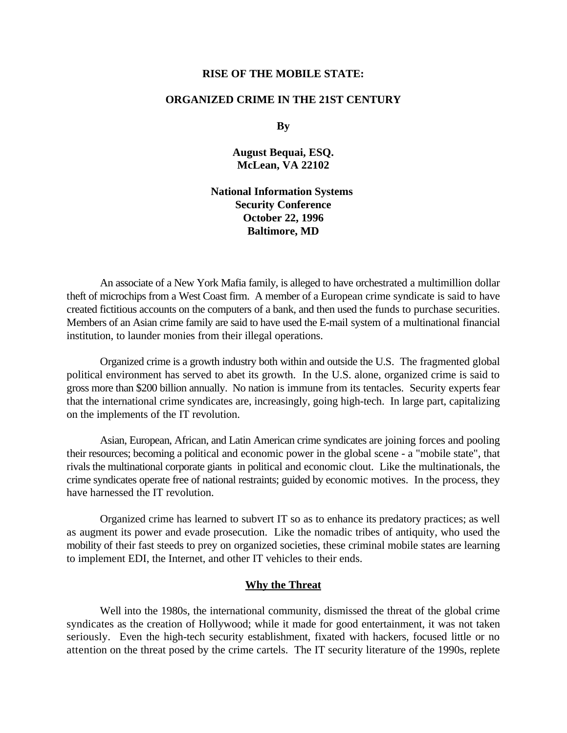### **RISE OF THE MOBILE STATE:**

## **ORGANIZED CRIME IN THE 21ST CENTURY**

**By**

**August Bequai, ESQ. McLean, VA 22102**

**National Information Systems Security Conference October 22, 1996 Baltimore, MD**

An associate of a New York Mafia family, is alleged to have orchestrated a multimillion dollar theft of microchips from a West Coast firm. A member of a European crime syndicate is said to have created fictitious accounts on the computers of a bank, and then used the funds to purchase securities. Members of an Asian crime family are said to have used the E-mail system of a multinational financial institution, to launder monies from their illegal operations.

Organized crime is a growth industry both within and outside the U.S. The fragmented global political environment has served to abet its growth. In the U.S. alone, organized crime is said to gross more than \$200 billion annually. No nation is immune from its tentacles. Security experts fear that the international crime syndicates are, increasingly, going high-tech. In large part, capitalizing on the implements of the IT revolution.

Asian, European, African, and Latin American crime syndicates are joining forces and pooling their resources; becoming a political and economic power in the global scene - a "mobile state", that rivals the multinational corporate giants in political and economic clout. Like the multinationals, the crime syndicates operate free of national restraints; guided by economic motives. In the process, they have harnessed the IT revolution.

Organized crime has learned to subvert IT so as to enhance its predatory practices; as well as augment its power and evade prosecution. Like the nomadic tribes of antiquity, who used the mobility of their fast steeds to prey on organized societies, these criminal mobile states are learning to implement EDI, the Internet, and other IT vehicles to their ends.

### **Why the Threat**

Well into the 1980s, the international community, dismissed the threat of the global crime syndicates as the creation of Hollywood; while it made for good entertainment, it was not taken seriously. Even the high-tech security establishment, fixated with hackers, focused little or no attention on the threat posed by the crime cartels. The IT security literature of the 1990s, replete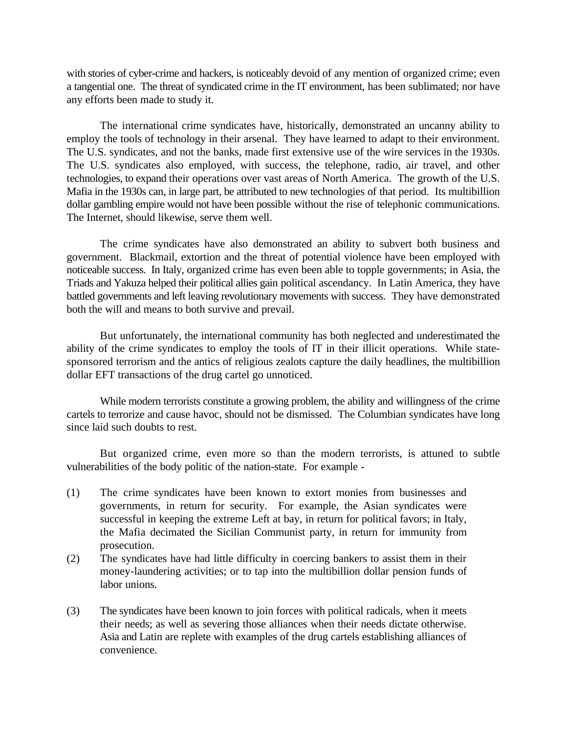with stories of cyber-crime and hackers, is noticeably devoid of any mention of organized crime; even a tangential one. The threat of syndicated crime in the IT environment, has been sublimated; nor have any efforts been made to study it.

The international crime syndicates have, historically, demonstrated an uncanny ability to employ the tools of technology in their arsenal. They have learned to adapt to their environment. The U.S. syndicates, and not the banks, made first extensive use of the wire services in the 1930s. The U.S. syndicates also employed, with success, the telephone, radio, air travel, and other technologies, to expand their operations over vast areas of North America. The growth of the U.S. Mafia in the 1930s can, in large part, be attributed to new technologies of that period. Its multibillion dollar gambling empire would not have been possible without the rise of telephonic communications. The Internet, should likewise, serve them well.

The crime syndicates have also demonstrated an ability to subvert both business and government. Blackmail, extortion and the threat of potential violence have been employed with noticeable success. In Italy, organized crime has even been able to topple governments; in Asia, the Triads and Yakuza helped their political allies gain political ascendancy. In Latin America, they have battled governments and left leaving revolutionary movements with success. They have demonstrated both the will and means to both survive and prevail.

But unfortunately, the international community has both neglected and underestimated the ability of the crime syndicates to employ the tools of IT in their illicit operations. While statesponsored terrorism and the antics of religious zealots capture the daily headlines, the multibillion dollar EFT transactions of the drug cartel go unnoticed.

While modern terrorists constitute a growing problem, the ability and willingness of the crime cartels to terrorize and cause havoc, should not be dismissed. The Columbian syndicates have long since laid such doubts to rest.

But organized crime, even more so than the modern terrorists, is attuned to subtle vulnerabilities of the body politic of the nation-state. For example -

- (1) The crime syndicates have been known to extort monies from businesses and governments, in return for security. For example, the Asian syndicates were successful in keeping the extreme Left at bay, in return for political favors; in Italy, the Mafia decimated the Sicilian Communist party, in return for immunity from prosecution.
- (2) The syndicates have had little difficulty in coercing bankers to assist them in their money-laundering activities; or to tap into the multibillion dollar pension funds of labor unions.
- (3) The syndicates have been known to join forces with political radicals, when it meets their needs; as well as severing those alliances when their needs dictate otherwise. Asia and Latin are replete with examples of the drug cartels establishing alliances of convenience.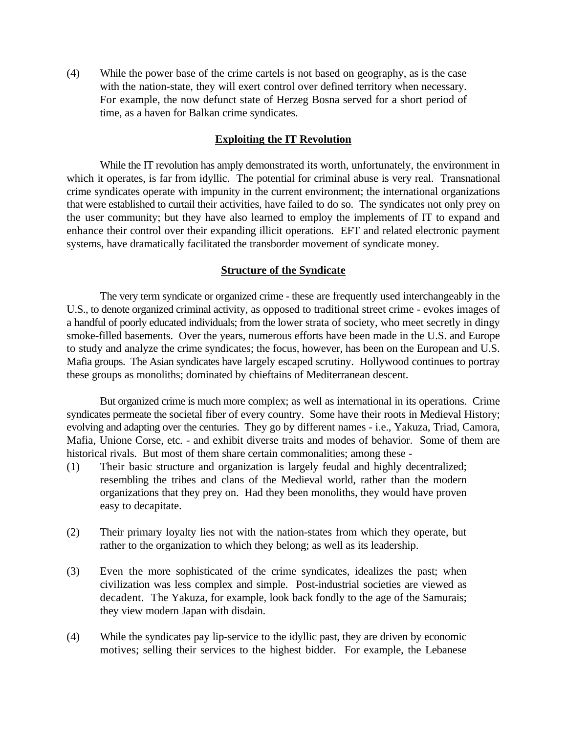(4) While the power base of the crime cartels is not based on geography, as is the case with the nation-state, they will exert control over defined territory when necessary. For example, the now defunct state of Herzeg Bosna served for a short period of time, as a haven for Balkan crime syndicates.

## **Exploiting the IT Revolution**

While the IT revolution has amply demonstrated its worth, unfortunately, the environment in which it operates, is far from idyllic. The potential for criminal abuse is very real. Transnational crime syndicates operate with impunity in the current environment; the international organizations that were established to curtail their activities, have failed to do so. The syndicates not only prey on the user community; but they have also learned to employ the implements of IT to expand and enhance their control over their expanding illicit operations. EFT and related electronic payment systems, have dramatically facilitated the transborder movement of syndicate money.

## **Structure of the Syndicate**

The very term syndicate or organized crime - these are frequently used interchangeably in the U.S., to denote organized criminal activity, as opposed to traditional street crime - evokes images of a handful of poorly educated individuals; from the lower strata of society, who meet secretly in dingy smoke-filled basements. Over the years, numerous efforts have been made in the U.S. and Europe to study and analyze the crime syndicates; the focus, however, has been on the European and U.S. Mafia groups. The Asian syndicates have largely escaped scrutiny. Hollywood continues to portray these groups as monoliths; dominated by chieftains of Mediterranean descent.

But organized crime is much more complex; as well as international in its operations. Crime syndicates permeate the societal fiber of every country. Some have their roots in Medieval History; evolving and adapting over the centuries. They go by different names - i.e., Yakuza, Triad, Camora, Mafia, Unione Corse, etc. - and exhibit diverse traits and modes of behavior. Some of them are historical rivals. But most of them share certain commonalities; among these -

- (1) Their basic structure and organization is largely feudal and highly decentralized; resembling the tribes and clans of the Medieval world, rather than the modern organizations that they prey on. Had they been monoliths, they would have proven easy to decapitate.
- (2) Their primary loyalty lies not with the nation-states from which they operate, but rather to the organization to which they belong; as well as its leadership.
- (3) Even the more sophisticated of the crime syndicates, idealizes the past; when civilization was less complex and simple. Post-industrial societies are viewed as decadent. The Yakuza, for example, look back fondly to the age of the Samurais; they view modern Japan with disdain.
- (4) While the syndicates pay lip-service to the idyllic past, they are driven by economic motives; selling their services to the highest bidder. For example, the Lebanese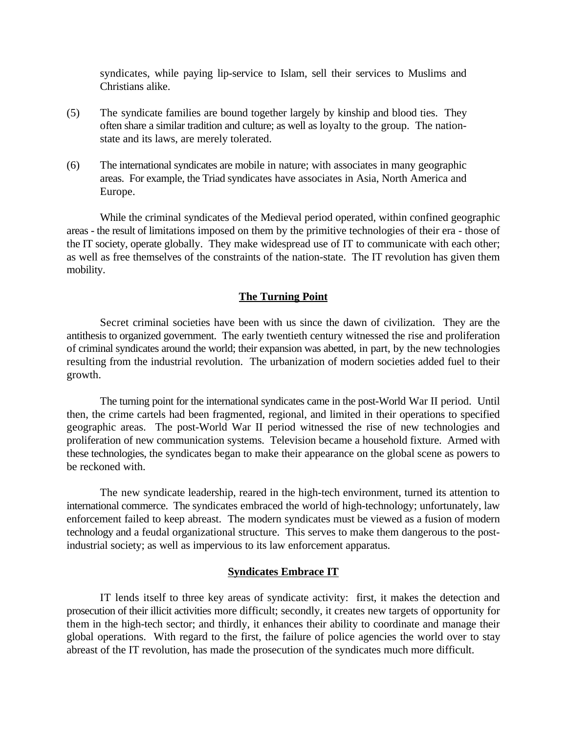syndicates, while paying lip-service to Islam, sell their services to Muslims and Christians alike.

- (5) The syndicate families are bound together largely by kinship and blood ties. They often share a similar tradition and culture; as well as loyalty to the group. The nationstate and its laws, are merely tolerated.
- (6) The international syndicates are mobile in nature; with associates in many geographic areas. For example, the Triad syndicates have associates in Asia, North America and Europe.

While the criminal syndicates of the Medieval period operated, within confined geographic areas - the result of limitations imposed on them by the primitive technologies of their era - those of the IT society, operate globally. They make widespread use of IT to communicate with each other; as well as free themselves of the constraints of the nation-state. The IT revolution has given them mobility.

## **The Turning Point**

Secret criminal societies have been with us since the dawn of civilization. They are the antithesis to organized government. The early twentieth century witnessed the rise and proliferation of criminal syndicates around the world; their expansion was abetted, in part, by the new technologies resulting from the industrial revolution. The urbanization of modern societies added fuel to their growth.

The turning point for the international syndicates came in the post-World War II period. Until then, the crime cartels had been fragmented, regional, and limited in their operations to specified geographic areas. The post-World War II period witnessed the rise of new technologies and proliferation of new communication systems. Television became a household fixture. Armed with these technologies, the syndicates began to make their appearance on the global scene as powers to be reckoned with.

The new syndicate leadership, reared in the high-tech environment, turned its attention to international commerce. The syndicates embraced the world of high-technology; unfortunately, law enforcement failed to keep abreast. The modern syndicates must be viewed as a fusion of modern technology and a feudal organizational structure. This serves to make them dangerous to the postindustrial society; as well as impervious to its law enforcement apparatus.

#### **Syndicates Embrace IT**

IT lends itself to three key areas of syndicate activity: first, it makes the detection and prosecution of their illicit activities more difficult; secondly, it creates new targets of opportunity for them in the high-tech sector; and thirdly, it enhances their ability to coordinate and manage their global operations. With regard to the first, the failure of police agencies the world over to stay abreast of the IT revolution, has made the prosecution of the syndicates much more difficult.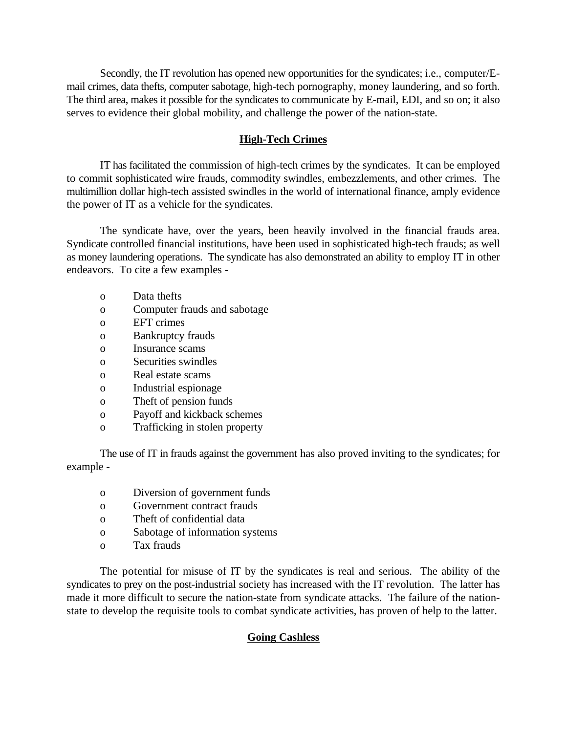Secondly, the IT revolution has opened new opportunities for the syndicates; i.e., computer/Email crimes, data thefts, computer sabotage, high-tech pornography, money laundering, and so forth. The third area, makes it possible for the syndicates to communicate by E-mail, EDI, and so on; it also serves to evidence their global mobility, and challenge the power of the nation-state.

## **High-Tech Crimes**

IT has facilitated the commission of high-tech crimes by the syndicates. It can be employed to commit sophisticated wire frauds, commodity swindles, embezzlements, and other crimes. The multimillion dollar high-tech assisted swindles in the world of international finance, amply evidence the power of IT as a vehicle for the syndicates.

The syndicate have, over the years, been heavily involved in the financial frauds area. Syndicate controlled financial institutions, have been used in sophisticated high-tech frauds; as well as money laundering operations. The syndicate has also demonstrated an ability to employ IT in other endeavors. To cite a few examples -

- o Data thefts
- o Computer frauds and sabotage
- o EFT crimes
- o Bankruptcy frauds
- o Insurance scams
- o Securities swindles
- o Real estate scams
- o Industrial espionage
- o Theft of pension funds
- o Payoff and kickback schemes
- o Trafficking in stolen property

The use of IT in frauds against the government has also proved inviting to the syndicates; for example -

- o Diversion of government funds
- o Government contract frauds
- o Theft of confidential data
- o Sabotage of information systems
- o Tax frauds

The potential for misuse of IT by the syndicates is real and serious. The ability of the syndicates to prey on the post-industrial society has increased with the IT revolution. The latter has made it more difficult to secure the nation-state from syndicate attacks. The failure of the nationstate to develop the requisite tools to combat syndicate activities, has proven of help to the latter.

## **Going Cashless**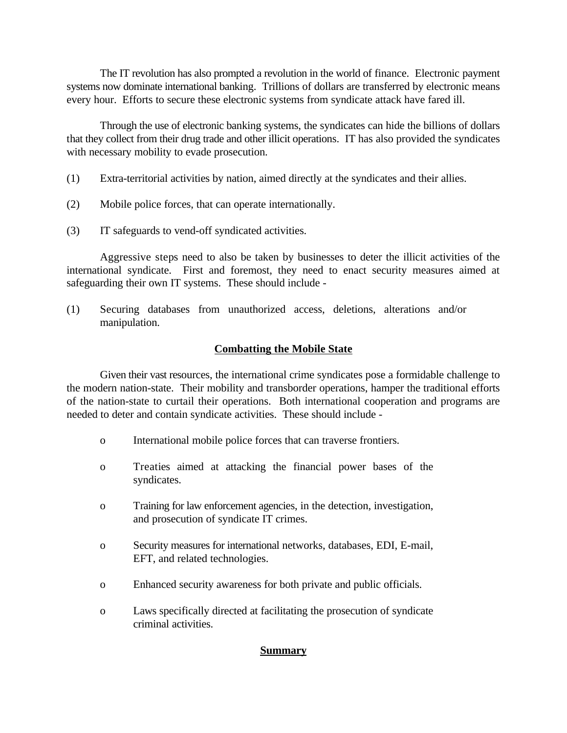The IT revolution has also prompted a revolution in the world of finance. Electronic payment systems now dominate international banking. Trillions of dollars are transferred by electronic means every hour. Efforts to secure these electronic systems from syndicate attack have fared ill.

Through the use of electronic banking systems, the syndicates can hide the billions of dollars that they collect from their drug trade and other illicit operations. IT has also provided the syndicates with necessary mobility to evade prosecution.

- (1) Extra-territorial activities by nation, aimed directly at the syndicates and their allies.
- (2) Mobile police forces, that can operate internationally.
- (3) IT safeguards to vend-off syndicated activities.

Aggressive steps need to also be taken by businesses to deter the illicit activities of the international syndicate. First and foremost, they need to enact security measures aimed at safeguarding their own IT systems. These should include -

(1) Securing databases from unauthorized access, deletions, alterations and/or manipulation.

# **Combatting the Mobile State**

Given their vast resources, the international crime syndicates pose a formidable challenge to the modern nation-state. Their mobility and transborder operations, hamper the traditional efforts of the nation-state to curtail their operations. Both international cooperation and programs are needed to deter and contain syndicate activities. These should include -

- o International mobile police forces that can traverse frontiers.
- o Treaties aimed at attacking the financial power bases of the syndicates.
- o Training for law enforcement agencies, in the detection, investigation, and prosecution of syndicate IT crimes.
- o Security measures for international networks, databases, EDI, E-mail, EFT, and related technologies.
- o Enhanced security awareness for both private and public officials.
- o Laws specifically directed at facilitating the prosecution of syndicate criminal activities.

# **Summary**